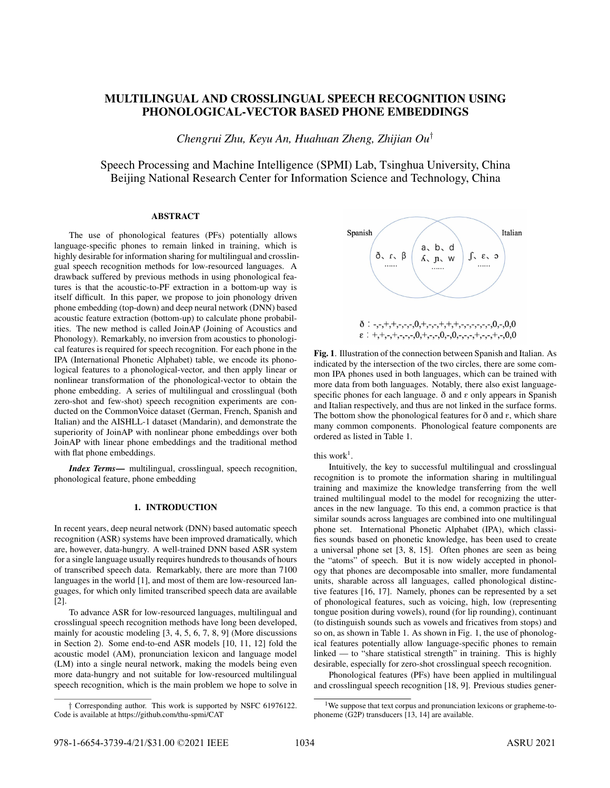# MULTILINGUAL AND CROSSLINGUAL SPEECH RECOGNITION USING PHONOLOGICAL-VECTOR BASED PHONE EMBEDDINGS

*Chengrui Zhu, Keyu An, Huahuan Zheng, Zhijian Ou*†

Speech Processing and Machine Intelligence (SPMI) Lab, Tsinghua University, China Beijing National Research Center for Information Science and Technology, China

# ABSTRACT

The use of phonological features (PFs) potentially allows language-specific phones to remain linked in training, which is highly desirable for information sharing for multilingual and crosslingual speech recognition methods for low-resourced languages. A drawback suffered by previous methods in using phonological features is that the acoustic-to-PF extraction in a bottom-up way is itself difficult. In this paper, we propose to join phonology driven phone embedding (top-down) and deep neural network (DNN) based acoustic feature extraction (bottom-up) to calculate phone probabilities. The new method is called JoinAP (Joining of Acoustics and Phonology). Remarkably, no inversion from acoustics to phonological features is required for speech recognition. For each phone in the IPA (International Phonetic Alphabet) table, we encode its phonological features to a phonological-vector, and then apply linear or nonlinear transformation of the phonological-vector to obtain the phone embedding. A series of multilingual and crosslingual (both zero-shot and few-shot) speech recognition experiments are conducted on the CommonVoice dataset (German, French, Spanish and Italian) and the AISHLL-1 dataset (Mandarin), and demonstrate the superiority of JoinAP with nonlinear phone embeddings over both JoinAP with linear phone embeddings and the traditional method with flat phone embeddings.

*Index Terms*— multilingual, crosslingual, speech recognition, phonological feature, phone embedding

## 1. INTRODUCTION

In recent years, deep neural network (DNN) based automatic speech recognition (ASR) systems have been improved dramatically, which are, however, data-hungry. A well-trained DNN based ASR system for a single language usually requires hundreds to thousands of hours of transcribed speech data. Remarkably, there are more than 7100 languages in the world [1], and most of them are low-resourced languages, for which only limited transcribed speech data are available [2].

To advance ASR for low-resourced languages, multilingual and crosslingual speech recognition methods have long been developed, mainly for acoustic modeling [3, 4, 5, 6, 7, 8, 9] (More discussions in Section 2). Some end-to-end ASR models [10, 11, 12] fold the acoustic model (AM), pronunciation lexicon and language model (LM) into a single neural network, making the models being even more data-hungry and not suitable for low-resourced multilingual speech recognition, which is the main problem we hope to solve in



Fig. 1. Illustration of the connection between Spanish and Italian. As indicated by the intersection of the two circles, there are some common IPA phones used in both languages, which can be trained with more data from both languages. Notably, there also exist languagespecific phones for each language.  $\delta$  and  $\varepsilon$  only appears in Spanish and Italian respectively, and thus are not linked in the surface forms. The bottom show the phonological features for  $\delta$  and  $\varepsilon$ , which share many common components. Phonological feature components are ordered as listed in Table 1.

this work<sup>1</sup>.

Intuitively, the key to successful multilingual and crosslingual recognition is to promote the information sharing in multilingual training and maximize the knowledge transferring from the well trained multilingual model to the model for recognizing the utterances in the new language. To this end, a common practice is that similar sounds across languages are combined into one multilingual phone set. International Phonetic Alphabet (IPA), which classifies sounds based on phonetic knowledge, has been used to create a universal phone set [3, 8, 15]. Often phones are seen as being the "atoms" of speech. But it is now widely accepted in phonology that phones are decomposable into smaller, more fundamental units, sharable across all languages, called phonological distinctive features [16, 17]. Namely, phones can be represented by a set of phonological features, such as voicing, high, low (representing tongue position during vowels), round (for lip rounding), continuant (to distinguish sounds such as vowels and fricatives from stops) and so on, as shown in Table 1. As shown in Fig. 1, the use of phonological features potentially allow language-specific phones to remain linked — to "share statistical strength" in training. This is highly desirable, especially for zero-shot crosslingual speech recognition.

Phonological features (PFs) have been applied in multilingual and crosslingual speech recognition [18, 9]. Previous studies gener-

<sup>†</sup> Corresponding author. This work is supported by NSFC 61976122. Code is available at https://github.com/thu-spmi/CAT

<sup>&</sup>lt;sup>1</sup>We suppose that text corpus and pronunciation lexicons or grapheme-tophoneme (G2P) transducers [13, 14] are available.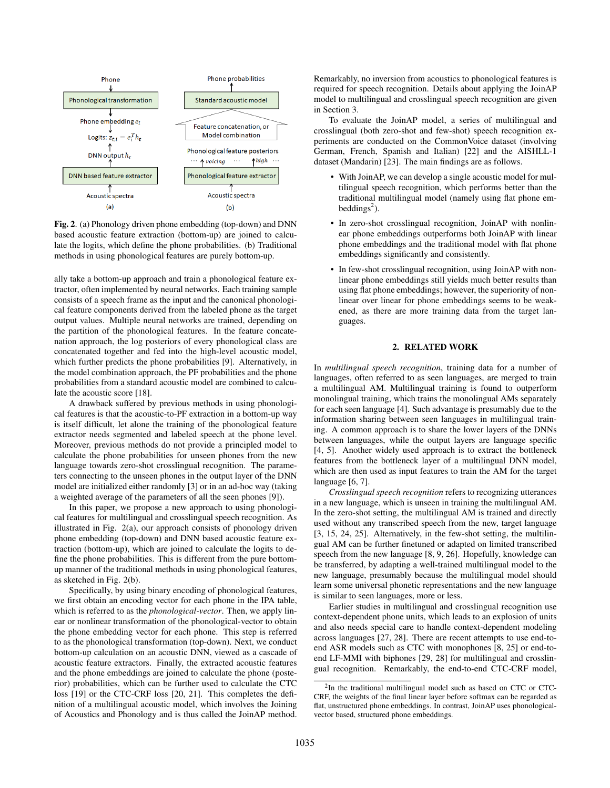

Fig. 2. (a) Phonology driven phone embedding (top-down) and DNN based acoustic feature extraction (bottom-up) are joined to calculate the logits, which define the phone probabilities. (b) Traditional methods in using phonological features are purely bottom-up.

ally take a bottom-up approach and train a phonological feature extractor, often implemented by neural networks. Each training sample consists of a speech frame as the input and the canonical phonological feature components derived from the labeled phone as the target output values. Multiple neural networks are trained, depending on the partition of the phonological features. In the feature concatenation approach, the log posteriors of every phonological class are concatenated together and fed into the high-level acoustic model, which further predicts the phone probabilities [9]. Alternatively, in the model combination approach, the PF probabilities and the phone probabilities from a standard acoustic model are combined to calculate the acoustic score [18].

A drawback suffered by previous methods in using phonological features is that the acoustic-to-PF extraction in a bottom-up way is itself difficult, let alone the training of the phonological feature extractor needs segmented and labeled speech at the phone level. Moreover, previous methods do not provide a principled model to calculate the phone probabilities for unseen phones from the new language towards zero-shot crosslingual recognition. The parameters connecting to the unseen phones in the output layer of the DNN model are initialized either randomly [3] or in an ad-hoc way (taking a weighted average of the parameters of all the seen phones [9]).

In this paper, we propose a new approach to using phonological features for multilingual and crosslingual speech recognition. As illustrated in Fig. 2(a), our approach consists of phonology driven phone embedding (top-down) and DNN based acoustic feature extraction (bottom-up), which are joined to calculate the logits to define the phone probabilities. This is different from the pure bottomup manner of the traditional methods in using phonological features, as sketched in Fig. 2(b).

Specifically, by using binary encoding of phonological features, we first obtain an encoding vector for each phone in the IPA table, which is referred to as the *phonological-vector*. Then, we apply linear or nonlinear transformation of the phonological-vector to obtain the phone embedding vector for each phone. This step is referred to as the phonological transformation (top-down). Next, we conduct bottom-up calculation on an acoustic DNN, viewed as a cascade of acoustic feature extractors. Finally, the extracted acoustic features and the phone embeddings are joined to calculate the phone (posterior) probabilities, which can be further used to calculate the CTC loss [19] or the CTC-CRF loss [20, 21]. This completes the definition of a multilingual acoustic model, which involves the Joining of Acoustics and Phonology and is thus called the JoinAP method.

Remarkably, no inversion from acoustics to phonological features is required for speech recognition. Details about applying the JoinAP model to multilingual and crosslingual speech recognition are given in Section 3.

To evaluate the JoinAP model, a series of multilingual and crosslingual (both zero-shot and few-shot) speech recognition experiments are conducted on the CommonVoice dataset (involving German, French, Spanish and Italian) [22] and the AISHLL-1 dataset (Mandarin) [23]. The main findings are as follows.

- With JoinAP, we can develop a single acoustic model for multilingual speech recognition, which performs better than the traditional multilingual model (namely using flat phone embeddings<sup>2</sup>).
- In zero-shot crosslingual recognition, JoinAP with nonlinear phone embeddings outperforms both JoinAP with linear phone embeddings and the traditional model with flat phone embeddings significantly and consistently.
- In few-shot crosslingual recognition, using JoinAP with nonlinear phone embeddings still yields much better results than using flat phone embeddings; however, the superiority of nonlinear over linear for phone embeddings seems to be weakened, as there are more training data from the target languages.

## 2. RELATED WORK

In *multilingual speech recognition*, training data for a number of languages, often referred to as seen languages, are merged to train a multilingual AM. Multilingual training is found to outperform monolingual training, which trains the monolingual AMs separately for each seen language [4]. Such advantage is presumably due to the information sharing between seen languages in multilingual training. A common approach is to share the lower layers of the DNNs between languages, while the output layers are language specific [4, 5]. Another widely used approach is to extract the bottleneck features from the bottleneck layer of a multilingual DNN model, which are then used as input features to train the AM for the target language [6, 7].

*Crosslingual speech recognition* refers to recognizing utterances in a new language, which is unseen in training the multilingual AM. In the zero-shot setting, the multilingual AM is trained and directly used without any transcribed speech from the new, target language [3, 15, 24, 25]. Alternatively, in the few-shot setting, the multilingual AM can be further finetuned or adapted on limited transcribed speech from the new language [8, 9, 26]. Hopefully, knowledge can be transferred, by adapting a well-trained multilingual model to the new language, presumably because the multilingual model should learn some universal phonetic representations and the new language is similar to seen languages, more or less.

Earlier studies in multilingual and crosslingual recognition use context-dependent phone units, which leads to an explosion of units and also needs special care to handle context-dependent modeling across languages [27, 28]. There are recent attempts to use end-toend ASR models such as CTC with monophones [8, 25] or end-toend LF-MMI with biphones [29, 28] for multilingual and crosslingual recognition. Remarkably, the end-to-end CTC-CRF model,

<sup>&</sup>lt;sup>2</sup>In the traditional multilingual model such as based on CTC or CTC-CRF, the weights of the final linear layer before softmax can be regarded as flat, unstructured phone embeddings. In contrast, JoinAP uses phonologicalvector based, structured phone embeddings.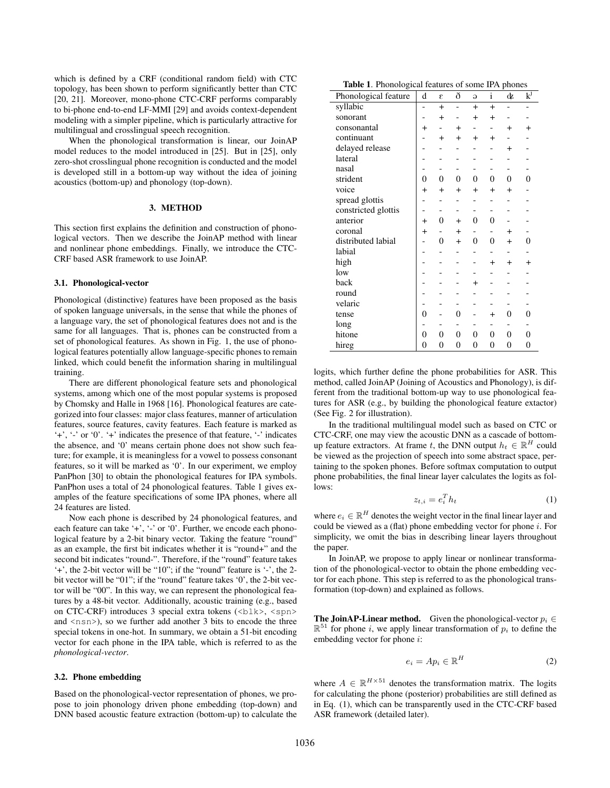which is defined by a CRF (conditional random field) with CTC topology, has been shown to perform significantly better than CTC [20, 21]. Moreover, mono-phone CTC-CRF performs comparably to bi-phone end-to-end LF-MMI [29] and avoids context-dependent modeling with a simpler pipeline, which is particularly attractive for multilingual and crosslingual speech recognition.

When the phonological transformation is linear, our JoinAP model reduces to the model introduced in [25]. But in [25], only zero-shot crosslingual phone recognition is conducted and the model is developed still in a bottom-up way without the idea of joining acoustics (bottom-up) and phonology (top-down).

## 3. METHOD

This section first explains the definition and construction of phonological vectors. Then we describe the JoinAP method with linear and nonlinear phone embeddings. Finally, we introduce the CTC-CRF based ASR framework to use JoinAP.

## 3.1. Phonological-vector

Phonological (distinctive) features have been proposed as the basis of spoken language universals, in the sense that while the phones of a language vary, the set of phonological features does not and is the same for all languages. That is, phones can be constructed from a set of phonological features. As shown in Fig. 1, the use of phonological features potentially allow language-specific phones to remain linked, which could benefit the information sharing in multilingual training.

There are different phonological feature sets and phonological systems, among which one of the most popular systems is proposed by Chomsky and Halle in 1968 [16]. Phonological features are categorized into four classes: major class features, manner of articulation features, source features, cavity features. Each feature is marked as '+', '-' or '0'. '+' indicates the presence of that feature, '-' indicates the absence, and '0' means certain phone does not show such feature; for example, it is meaningless for a vowel to possess consonant features, so it will be marked as '0'. In our experiment, we employ PanPhon [30] to obtain the phonological features for IPA symbols. PanPhon uses a total of 24 phonological features. Table 1 gives examples of the feature specifications of some IPA phones, where all 24 features are listed.

Now each phone is described by 24 phonological features, and each feature can take '+', '-' or '0'. Further, we encode each phonological feature by a 2-bit binary vector. Taking the feature "round" as an example, the first bit indicates whether it is "round+" and the second bit indicates "round-". Therefore, if the "round" feature takes '+', the 2-bit vector will be "10"; if the "round" feature is '-', the 2 bit vector will be "01"; if the "round" feature takes '0', the 2-bit vector will be "00". In this way, we can represent the phonological features by a 48-bit vector. Additionally, acoustic training (e.g., based on CTC-CRF) introduces 3 special extra tokens (<br/>blk>, <spn> and  $\langle$ nsn $\rangle$ ), so we further add another 3 bits to encode the three special tokens in one-hot. In summary, we obtain a 51-bit encoding vector for each phone in the IPA table, which is referred to as the *phonological-vector*.

#### 3.2. Phone embedding

Based on the phonological-vector representation of phones, we propose to join phonology driven phone embedding (top-down) and DNN based acoustic feature extraction (bottom-up) to calculate the

Table 1. Phonological features of some IPA phones

| Phonological feature | d         | E              | ð              | $\Theta$       | $\mathbf{i}$   | ¢              | $k^{j}$        |
|----------------------|-----------|----------------|----------------|----------------|----------------|----------------|----------------|
| syllabic             |           | $+$            |                | $+$            | $+$            |                |                |
| sonorant             |           | $\ddot{}$      |                | $\ddot{}$      | $\ddot{}$      |                |                |
| consonantal          | $\ddot{}$ |                | $\ddot{}$      |                |                | $+$            | $\ddot{}$      |
| continuant           |           | $\overline{+}$ | $^{+}$         | $\ddot{}$      | $\ddot{}$      |                |                |
| delayed release      |           |                |                |                |                | $\ddot{}$      |                |
| lateral              |           |                |                |                |                |                |                |
| nasal                |           |                |                |                |                |                |                |
| strident             | 0         | $\theta$       | $\theta$       | $\theta$       | $\theta$       | $\Omega$       | $\theta$       |
| voice                | $^{+}$    | $\ddot{}$      | $\ddot{}$      | $\ddot{}$      | $\ddot{}$      | $\ddot{}$      |                |
| spread glottis       |           |                |                |                |                |                |                |
| constricted glottis  |           |                |                |                |                |                |                |
| anterior             | $+$       | 0              | $^{+}$         | $\theta$       | $\theta$       |                |                |
| coronal              | $\ddot{}$ |                | $\ddot{}$      |                |                | $\ddot{}$      |                |
| distributed labial   |           | $\theta$       | $+$            | $\theta$       | $\theta$       | $\ddot{}$      | 0              |
| labial               |           |                |                |                |                |                |                |
| high                 |           |                |                |                | $\ddot{}$      | $\ddot{}$      | $\ddot{}$      |
| low                  |           |                |                |                |                |                |                |
| back                 |           |                |                | $\ddot{}$      |                |                |                |
| round                |           |                |                |                |                |                |                |
| velaric              |           |                |                |                |                |                |                |
| tense                | $\theta$  |                | $\Omega$       |                | $\ddot{}$      | $\theta$       | $\overline{0}$ |
| long                 |           |                |                |                |                |                |                |
| hitone               | 0         | $\theta$       | $\overline{0}$ | $\overline{0}$ | $\overline{0}$ | $\theta$       | 0              |
| hireg                | 0         | $\overline{0}$ | $\overline{0}$ | $\overline{0}$ | $\overline{0}$ | $\overline{0}$ | 0              |

logits, which further define the phone probabilities for ASR. This method, called JoinAP (Joining of Acoustics and Phonology), is different from the traditional bottom-up way to use phonological features for ASR (e.g., by building the phonological feature extactor) (See Fig. 2 for illustration).

In the traditional multilingual model such as based on CTC or CTC-CRF, one may view the acoustic DNN as a cascade of bottomup feature extractors. At frame t, the DNN output  $h_t \in \mathbb{R}^H$  could be viewed as the projection of speech into some abstract space, pertaining to the spoken phones. Before softmax computation to output phone probabilities, the final linear layer calculates the logits as follows:

$$
z_{t,i} = e_i^T h_t \tag{1}
$$

where  $e_i \in \mathbb{R}^H$  denotes the weight vector in the final linear layer and could be viewed as a (flat) phone embedding vector for phone i. For simplicity, we omit the bias in describing linear layers throughout the paper.

In JoinAP, we propose to apply linear or nonlinear transformation of the phonological-vector to obtain the phone embedding vector for each phone. This step is referred to as the phonological transformation (top-down) and explained as follows.

The JoinAP-Linear method. Given the phonological-vector  $p_i \in$  $\mathbb{R}^{51}$  for phone i, we apply linear transformation of  $p_i$  to define the embedding vector for phone i:

$$
e_i = Ap_i \in \mathbb{R}^H \tag{2}
$$

where  $A \in \mathbb{R}^{H \times 51}$  denotes the transformation matrix. The logits for calculating the phone (posterior) probabilities are still defined as in Eq. (1), which can be transparently used in the CTC-CRF based ASR framework (detailed later).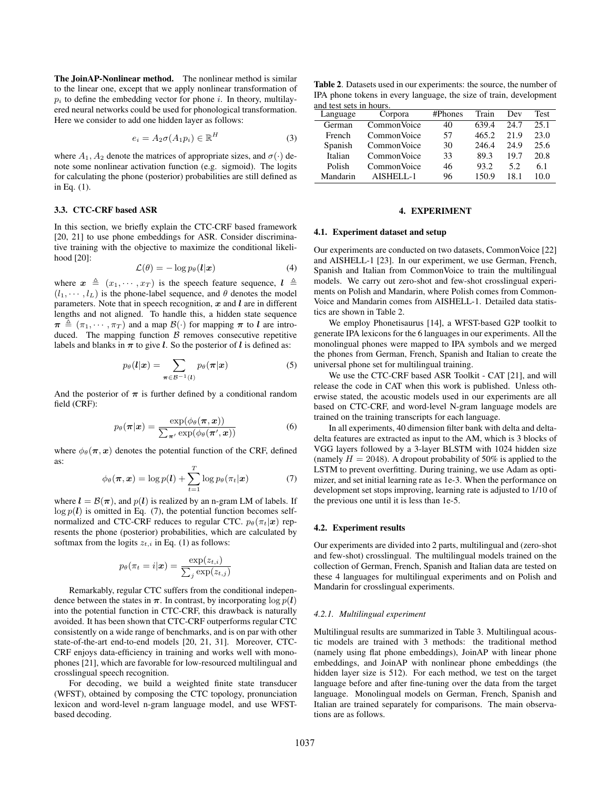The JoinAP-Nonlinear method. The nonlinear method is similar to the linear one, except that we apply nonlinear transformation of  $p_i$  to define the embedding vector for phone i. In theory, multilayered neural networks could be used for phonological transformation. Here we consider to add one hidden layer as follows:

$$
e_i = A_2 \sigma(A_1 p_i) \in \mathbb{R}^H \tag{3}
$$

where  $A_1$ ,  $A_2$  denote the matrices of appropriate sizes, and  $\sigma(\cdot)$  denote some nonlinear activation function (e.g. sigmoid). The logits for calculating the phone (posterior) probabilities are still defined as in Eq. (1).

# 3.3. CTC-CRF based ASR

In this section, we briefly explain the CTC-CRF based framework [20, 21] to use phone embeddings for ASR. Consider discriminative training with the objective to maximize the conditional likelihood [20]:

$$
\mathcal{L}(\theta) = -\log p_{\theta}(\mathbf{l}|\mathbf{x}) \tag{4}
$$

where  $x \triangleq (x_1, \dots, x_T)$  is the speech feature sequence,  $l \triangleq$  $(l_1, \dots, l_L)$  is the phone-label sequence, and  $\theta$  denotes the model parameters. Note that in speech recognition,  $x$  and  $l$  are in different lengths and not aligned. To handle this, a hidden state sequence  $\pi \triangleq (\pi_1, \cdots, \pi_T)$  and a map  $\mathcal{B}(\cdot)$  for mapping  $\pi$  to l are introduced. The mapping function  $\beta$  removes consecutive repetitive labels and blanks in  $\pi$  to give *l*. So the posterior of *l* is defined as:

$$
p_{\theta}(\boldsymbol{l}|\boldsymbol{x}) = \sum_{\boldsymbol{\pi} \in \mathcal{B}^{-1}(\boldsymbol{l})} p_{\theta}(\boldsymbol{\pi}|\boldsymbol{x})
$$
 (5)

And the posterior of  $\pi$  is further defined by a conditional random field (CRF):

$$
p_{\theta}(\boldsymbol{\pi}|\boldsymbol{x}) = \frac{\exp(\phi_{\theta}(\boldsymbol{\pi}, \boldsymbol{x}))}{\sum_{\boldsymbol{\pi}'} \exp(\phi_{\theta}(\boldsymbol{\pi}', \boldsymbol{x}))}
$$
(6)

where  $\phi_{\theta}(\pi, x)$  denotes the potential function of the CRF, defined as:

$$
\phi_{\theta}(\boldsymbol{\pi}, \boldsymbol{x}) = \log p(\boldsymbol{l}) + \sum_{t=1}^{T} \log p_{\theta}(\pi_t | \boldsymbol{x}) \tag{7}
$$

where  $l = \mathcal{B}(\pi)$ , and  $p(l)$  is realized by an n-gram LM of labels. If  $\log p(l)$  is omitted in Eq. (7), the potential function becomes selfnormalized and CTC-CRF reduces to regular CTC.  $p_{\theta}(\pi_t|\mathbf{x})$  represents the phone (posterior) probabilities, which are calculated by softmax from the logits  $z_{t,i}$  in Eq. (1) as follows:

$$
p_{\theta}(\pi_t = i|\boldsymbol{x}) = \frac{\exp(z_{t,i})}{\sum_j \exp(z_{t,j})}
$$

Remarkably, regular CTC suffers from the conditional independence between the states in  $\pi$ . In contrast, by incorporating  $\log p(l)$ into the potential function in CTC-CRF, this drawback is naturally avoided. It has been shown that CTC-CRF outperforms regular CTC consistently on a wide range of benchmarks, and is on par with other state-of-the-art end-to-end models [20, 21, 31]. Moreover, CTC-CRF enjoys data-efficiency in training and works well with monophones [21], which are favorable for low-resourced multilingual and crosslingual speech recognition.

For decoding, we build a weighted finite state transducer (WFST), obtained by composing the CTC topology, pronunciation lexicon and word-level n-gram language model, and use WFSTbased decoding.

Table 2. Datasets used in our experiments: the source, the number of IPA phone tokens in every language, the size of train, development and test sets in hours.

| Language | Corpora      | #Phones | Train | Dev  | Test |
|----------|--------------|---------|-------|------|------|
| German   | Common Voice | 40      | 639.4 | 24.7 | 25.1 |
| French   | Common Voice | 57      | 465.2 | 21.9 | 23.0 |
| Spanish  | Common Voice | 30      | 246.4 | 24.9 | 25.6 |
| Italian  | Common Voice | 33      | 89.3  | 19.7 | 20.8 |
| Polish   | Common Voice | 46      | 93.2  | 5.2  | 6.1  |
| Mandarin | $A$ ISHELL-1 | 96      | 150.9 | 181  | 10.0 |

## 4. EXPERIMENT

### 4.1. Experiment dataset and setup

Our experiments are conducted on two datasets, CommonVoice [22] and AISHELL-1 [23]. In our experiment, we use German, French, Spanish and Italian from CommonVoice to train the multilingual models. We carry out zero-shot and few-shot crosslingual experiments on Polish and Mandarin, where Polish comes from Common-Voice and Mandarin comes from AISHELL-1. Detailed data statistics are shown in Table 2.

We employ Phonetisaurus [14], a WFST-based G2P toolkit to generate IPA lexicons for the 6 languages in our experiments. All the monolingual phones were mapped to IPA symbols and we merged the phones from German, French, Spanish and Italian to create the universal phone set for multilingual training.

We use the CTC-CRF based ASR Toolkit - CAT [21], and will release the code in CAT when this work is published. Unless otherwise stated, the acoustic models used in our experiments are all based on CTC-CRF, and word-level N-gram language models are trained on the training transcripts for each language.

In all experiments, 40 dimension filter bank with delta and deltadelta features are extracted as input to the AM, which is 3 blocks of VGG layers followed by a 3-layer BLSTM with 1024 hidden size (namely  $H = 2048$ ). A dropout probability of 50% is applied to the LSTM to prevent overfitting. During training, we use Adam as optimizer, and set initial learning rate as 1e-3. When the performance on development set stops improving, learning rate is adjusted to 1/10 of the previous one until it is less than 1e-5.

### 4.2. Experiment results

Our experiments are divided into 2 parts, multilingual and (zero-shot and few-shot) crosslingual. The multilingual models trained on the collection of German, French, Spanish and Italian data are tested on these 4 languages for multilingual experiments and on Polish and Mandarin for crosslingual experiments.

### *4.2.1. Multilingual experiment*

Multilingual results are summarized in Table 3. Multilingual acoustic models are trained with 3 methods: the traditional method (namely using flat phone embeddings), JoinAP with linear phone embeddings, and JoinAP with nonlinear phone embeddings (the hidden layer size is 512). For each method, we test on the target language before and after fine-tuning over the data from the target language. Monolingual models on German, French, Spanish and Italian are trained separately for comparisons. The main observations are as follows.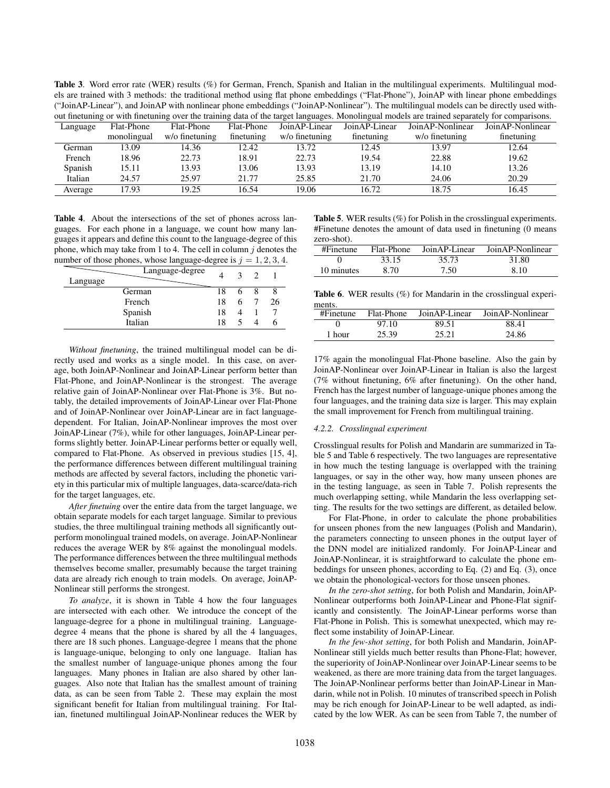Table 3. Word error rate (WER) results (%) for German, French, Spanish and Italian in the multilingual experiments. Multilingual models are trained with 3 methods: the traditional method using flat phone embeddings ("Flat-Phone"), JoinAP with linear phone embeddings ("JoinAP-Linear"), and JoinAP with nonlinear phone embeddings ("JoinAP-Nonlinear"). The multilingual models can be directly used without finetuning or with finetuning over the training data of the target languages. Monolingual models are trained separately for comparisons.

|          | our microming of which microming over the training away of the august anguages, fitohomigant motions are train<br>-------- |                |            |                |                |                   |                  |
|----------|----------------------------------------------------------------------------------------------------------------------------|----------------|------------|----------------|----------------|-------------------|------------------|
| Language | Flat-Phone                                                                                                                 | Flat-Phone     | Flat-Phone | Join AP-Linear | Join AP-Linear | Join AP-Nonlinear | JoinAP-Nonlinear |
|          | monolingual                                                                                                                | w/o finetuning | finetuning | w/o finetuning | finetuning     | w/o finetuning    | finetuning       |
| German   | 13.09                                                                                                                      | 14.36          | 12.42      | 13.72          | 12.45          | 13.97             | 12.64            |
| French   | 18.96                                                                                                                      | 22.73          | 18.91      | 22.73          | 19.54          | 22.88             | 19.62            |
| Spanish  | 15.11                                                                                                                      | 13.93          | 13.06      | 13.93          | 13.19          | 14.10             | 13.26            |
| Italian  | 24.57                                                                                                                      | 25.97          | 21.77      | 25.85          | 21.70          | 24.06             | 20.29            |
| Average  | 17.93                                                                                                                      | 19.25          | 16.54      | 19.06          | 16.72          | 18.75             | 16.45            |

Table 4. About the intersections of the set of phones across languages. For each phone in a language, we count how many languages it appears and define this count to the language-degree of this phone, which may take from 1 to 4. The cell in column  $i$  denotes the number of those phones, whose language-degree is  $j = 1, 2, 3, 4$ .

| Language-degree<br>Language |    | 3 |    |
|-----------------------------|----|---|----|
| German                      | 18 | 6 |    |
| French                      | 18 | 6 | 26 |
| Spanish                     | 18 |   |    |
| Italian                     | 18 |   |    |

*Without finetuning*, the trained multilingual model can be directly used and works as a single model. In this case, on average, both JoinAP-Nonlinear and JoinAP-Linear perform better than Flat-Phone, and JoinAP-Nonlinear is the strongest. The average relative gain of JoinAP-Nonlinear over Flat-Phone is 3%. But notably, the detailed improvements of JoinAP-Linear over Flat-Phone and of JoinAP-Nonlinear over JoinAP-Linear are in fact languagedependent. For Italian, JoinAP-Nonlinear improves the most over JoinAP-Linear (7%), while for other languages, JoinAP-Linear performs slightly better. JoinAP-Linear performs better or equally well, compared to Flat-Phone. As observed in previous studies [15, 4], the performance differences between different multilingual training methods are affected by several factors, including the phonetic variety in this particular mix of multiple languages, data-scarce/data-rich for the target languages, etc.

*After finetuing* over the entire data from the target language, we obtain separate models for each target language. Similar to previous studies, the three multilingual training methods all significantly outperform monolingual trained models, on average. JoinAP-Nonlinear reduces the average WER by 8% against the monolingual models. The performance differences between the three multilingual methods themselves become smaller, presumably because the target training data are already rich enough to train models. On average, JoinAP-Nonlinear still performs the strongest.

*To analyze*, it is shown in Table 4 how the four languages are intersected with each other. We introduce the concept of the language-degree for a phone in multilingual training. Languagedegree 4 means that the phone is shared by all the 4 languages, there are 18 such phones. Language-degree 1 means that the phone is language-unique, belonging to only one language. Italian has the smallest number of language-unique phones among the four languages. Many phones in Italian are also shared by other languages. Also note that Italian has the smallest amount of training data, as can be seen from Table 2. These may explain the most significant benefit for Italian from multilingual training. For Italian, finetuned multilingual JoinAP-Nonlinear reduces the WER by

Table 5. WER results (%) for Polish in the crosslingual experiments. #Finetune denotes the amount of data used in finetuning (0 means zero-shot).

| #Finetune  | Flat-Phone | Join AP-Linear | Join AP-Nonlinear |
|------------|------------|----------------|-------------------|
|            | 33.15      | 35.73          | 31.80             |
| 10 minutes | 8.70       | 7.50           | 8.10              |

**Table 6.** WER results  $(\%)$  for Mandarin in the crosslingual experiments.

| #Finetune | Flat-Phone | JoinAP-Linear | JoinAP-Nonlinear |
|-----------|------------|---------------|------------------|
|           | 97.10      | 89.51         | 88.41            |
| 1 hour    | 25.39      | 25.21         | 24.86            |

17% again the monolingual Flat-Phone baseline. Also the gain by JoinAP-Nonlinear over JoinAP-Linear in Italian is also the largest (7% without finetuning, 6% after finetuning). On the other hand, French has the largest number of language-unique phones among the four languages, and the training data size is larger. This may explain the small improvement for French from multilingual training.

#### *4.2.2. Crosslingual experiment*

Crosslingual results for Polish and Mandarin are summarized in Table 5 and Table 6 respectively. The two languages are representative in how much the testing language is overlapped with the training languages, or say in the other way, how many unseen phones are in the testing language, as seen in Table 7. Polish represents the much overlapping setting, while Mandarin the less overlapping setting. The results for the two settings are different, as detailed below.

For Flat-Phone, in order to calculate the phone probabilities for unseen phones from the new languages (Polish and Mandarin), the parameters connecting to unseen phones in the output layer of the DNN model are initialized randomly. For JoinAP-Linear and JoinAP-Nonlinear, it is straightforward to calculate the phone embeddings for unseen phones, according to Eq. (2) and Eq. (3), once we obtain the phonological-vectors for those unseen phones.

*In the zero-shot setting*, for both Polish and Mandarin, JoinAP-Nonlinear outperforms both JoinAP-Linear and Phone-Flat significantly and consistently. The JoinAP-Linear performs worse than Flat-Phone in Polish. This is somewhat unexpected, which may reflect some instability of JoinAP-Linear.

*In the few-shot setting*, for both Polish and Mandarin, JoinAP-Nonlinear still yields much better results than Phone-Flat; however, the superiority of JoinAP-Nonlinear over JoinAP-Linear seems to be weakened, as there are more training data from the target languages. The JoinAP-Nonlinear performs better than JoinAP-Linear in Mandarin, while not in Polish. 10 minutes of transcribed speech in Polish may be rich enough for JoinAP-Linear to be well adapted, as indicated by the low WER. As can be seen from Table 7, the number of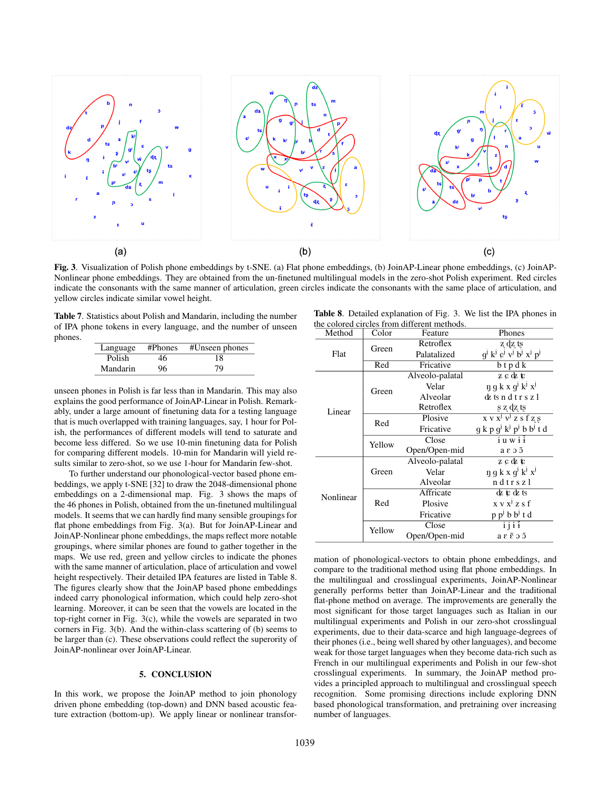

Fig. 3. Visualization of Polish phone embeddings by t-SNE. (a) Flat phone embeddings, (b) JoinAP-Linear phone embeddings, (c) JoinAP-Nonlinear phone embeddings. They are obtained from the un-finetuned multilingual models in the zero-shot Polish experiment. Red circles indicate the consonants with the same manner of articulation, green circles indicate the consonants with the same place of articulation, and yellow circles indicate similar vowel height.

Table 7. Statistics about Polish and Mandarin, including the number of IPA phone tokens in every language, and the number of unseen phones.

| Language | $#P$ hones | #Unseen phones |
|----------|------------|----------------|
| Polish   | 46         | 18             |
| Mandarin | 96         | 79             |

unseen phones in Polish is far less than in Mandarin. This may also explains the good performance of JoinAP-Linear in Polish. Remarkably, under a large amount of finetuning data for a testing language that is much overlapped with training languages, say, 1 hour for Polish, the performances of different models will tend to saturate and become less differed. So we use 10-min finetuning data for Polish for comparing different models. 10-min for Mandarin will yield results similar to zero-shot, so we use 1-hour for Mandarin few-shot.

To further understand our phonological-vector based phone embeddings, we apply t-SNE [32] to draw the 2048-dimensional phone embeddings on a 2-dimensional map. Fig. 3 shows the maps of the 46 phones in Polish, obtained from the un-finetuned multilingual models. It seems that we can hardly find many sensible groupings for flat phone embeddings from Fig. 3(a). But for JoinAP-Linear and JoinAP-Nonlinear phone embeddings, the maps reflect more notable groupings, where similar phones are found to gather together in the maps. We use red, green and yellow circles to indicate the phones with the same manner of articulation, place of articulation and vowel height respectively. Their detailed IPA features are listed in Table 8. The figures clearly show that the JoinAP based phone embeddings indeed carry phonological information, which could help zero-shot learning. Moreover, it can be seen that the vowels are located in the top-right corner in Fig. 3(c), while the vowels are separated in two corners in Fig. 3(b). And the within-class scattering of (b) seems to be larger than (c). These observations could reflect the superority of JoinAP-nonlinear over JoinAP-Linear.

# 5. CONCLUSION

In this work, we propose the JoinAP method to join phonology driven phone embedding (top-down) and DNN based acoustic feature extraction (bottom-up). We apply linear or nonlinear transfor-

Table 8. Detailed explanation of Fig. 3. We list the IPA phones in the colored circles from different methods.

| Method    | Color  | ne colored circles from different methods.<br>Feature | Phones                                                                                                            |
|-----------|--------|-------------------------------------------------------|-------------------------------------------------------------------------------------------------------------------|
| Flat      | Green  | Retroflex                                             | z dz ts                                                                                                           |
|           |        | Palatalized                                           | $q^j$ k <sup>j</sup> c <sup>j</sup> v <sup>j</sup> b <sup>j</sup> x <sup>j</sup> p <sup>j</sup>                   |
|           | Red    | Fricative                                             | $b$ tpdk                                                                                                          |
|           |        | Alveolo-palatal                                       | zε¢ε                                                                                                              |
|           | Green  | Velar                                                 | $\eta$ g k x g <sup>j</sup> k <sup>j</sup> x <sup>j</sup>                                                         |
|           |        | Alveolar                                              | dzts ndtrs z l                                                                                                    |
| Linear    |        | Retroflex                                             | s z dz ts                                                                                                         |
|           | Red    | Plosive                                               | $\overline{X} \overline{V} \overline{X}^j \overline{V}^j \overline{Z} \overline{S}$ f $\overline{Z} \overline{S}$ |
|           |        | Fricative                                             | $q k p q^j k^j p^j b b^j t d$                                                                                     |
|           | Yellow | Close                                                 | $i$ u w $i$ $i$                                                                                                   |
|           |        | Open/Open-mid                                         | a ɛ ɔ ɔ̃                                                                                                          |
|           |        | Alveolo-palatal                                       | zε¢ε                                                                                                              |
|           | Green  | Velar                                                 | $\eta$ g k x g <sup>j</sup> k <sup>j</sup> x <sup>j</sup>                                                         |
| Nonlinear |        | Alveolar                                              | ndtrszl                                                                                                           |
|           |        | Affricate                                             | はにはts                                                                                                             |
|           | Red    | Plosive                                               | $x \vee x^{j} z s f$                                                                                              |
|           |        | Fricative                                             | $p p^j b b^j t d$                                                                                                 |
|           | Yellow | Close                                                 | 1111                                                                                                              |
|           |        | Open/Open-mid                                         | а ε ἕ э ɔ̃                                                                                                        |

mation of phonological-vectors to obtain phone embeddings, and compare to the traditional method using flat phone embeddings. In the multilingual and crosslingual experiments, JoinAP-Nonlinear generally performs better than JoinAP-Linear and the traditional flat-phone method on average. The improvements are generally the most significant for those target languages such as Italian in our multilingual experiments and Polish in our zero-shot crosslingual experiments, due to their data-scarce and high language-degrees of their phones (i.e., being well shared by other languages), and become weak for those target languages when they become data-rich such as French in our multilingual experiments and Polish in our few-shot crosslingual experiments. In summary, the JoinAP method provides a principled approach to multilingual and crosslingual speech recognition. Some promising directions include exploring DNN based phonological transformation, and pretraining over increasing number of languages.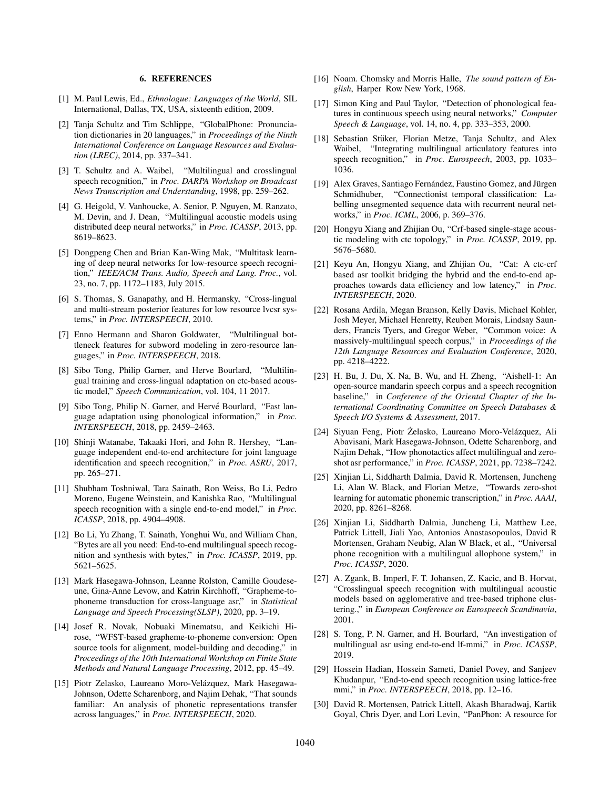#### 6. REFERENCES

- [1] M. Paul Lewis, Ed., *Ethnologue: Languages of the World*, SIL International, Dallas, TX, USA, sixteenth edition, 2009.
- [2] Tanja Schultz and Tim Schlippe, "GlobalPhone: Pronunciation dictionaries in 20 languages," in *Proceedings of the Ninth International Conference on Language Resources and Evaluation (LREC)*, 2014, pp. 337–341.
- [3] T. Schultz and A. Waibel, "Multilingual and crosslingual speech recognition," in *Proc. DARPA Workshop on Broadcast News Transcription and Understanding*, 1998, pp. 259–262.
- [4] G. Heigold, V. Vanhoucke, A. Senior, P. Nguyen, M. Ranzato, M. Devin, and J. Dean, "Multilingual acoustic models using distributed deep neural networks," in *Proc. ICASSP*, 2013, pp. 8619–8623.
- [5] Dongpeng Chen and Brian Kan-Wing Mak, "Multitask learning of deep neural networks for low-resource speech recognition," *IEEE/ACM Trans. Audio, Speech and Lang. Proc.*, vol. 23, no. 7, pp. 1172–1183, July 2015.
- [6] S. Thomas, S. Ganapathy, and H. Hermansky, "Cross-lingual and multi-stream posterior features for low resource lvcsr systems," in *Proc. INTERSPEECH*, 2010.
- [7] Enno Hermann and Sharon Goldwater, "Multilingual bottleneck features for subword modeling in zero-resource languages," in *Proc. INTERSPEECH*, 2018.
- [8] Sibo Tong, Philip Garner, and Herve Bourlard, "Multilingual training and cross-lingual adaptation on ctc-based acoustic model," *Speech Communication*, vol. 104, 11 2017.
- [9] Sibo Tong, Philip N. Garner, and Hervé Bourlard, "Fast language adaptation using phonological information," in *Proc. INTERSPEECH*, 2018, pp. 2459–2463.
- [10] Shinji Watanabe, Takaaki Hori, and John R. Hershey, "Language independent end-to-end architecture for joint language identification and speech recognition," in *Proc. ASRU*, 2017, pp. 265–271.
- [11] Shubham Toshniwal, Tara Sainath, Ron Weiss, Bo Li, Pedro Moreno, Eugene Weinstein, and Kanishka Rao, "Multilingual speech recognition with a single end-to-end model," in *Proc. ICASSP*, 2018, pp. 4904–4908.
- [12] Bo Li, Yu Zhang, T. Sainath, Yonghui Wu, and William Chan, "Bytes are all you need: End-to-end multilingual speech recognition and synthesis with bytes," in *Proc. ICASSP*, 2019, pp. 5621–5625.
- [13] Mark Hasegawa-Johnson, Leanne Rolston, Camille Goudeseune, Gina-Anne Levow, and Katrin Kirchhoff, "Grapheme-tophoneme transduction for cross-language asr," in *Statistical Language and Speech Processing(SLSP)*, 2020, pp. 3–19.
- [14] Josef R. Novak, Nobuaki Minematsu, and Keikichi Hirose, "WFST-based grapheme-to-phoneme conversion: Open source tools for alignment, model-building and decoding," in *Proceedings of the 10th International Workshop on Finite State Methods and Natural Language Processing*, 2012, pp. 45–49.
- [15] Piotr Zelasko, Laureano Moro-Velázquez, Mark Hasegawa-Johnson, Odette Scharenborg, and Najim Dehak, "That sounds familiar: An analysis of phonetic representations transfer across languages," in *Proc. INTERSPEECH*, 2020.
- [16] Noam. Chomsky and Morris Halle, *The sound pattern of English*, Harper Row New York, 1968.
- [17] Simon King and Paul Taylor, "Detection of phonological features in continuous speech using neural networks," *Computer Speech & Language*, vol. 14, no. 4, pp. 333–353, 2000.
- [18] Sebastian Stüker, Florian Metze, Tanja Schultz, and Alex Waibel, "Integrating multilingual articulatory features into speech recognition," in *Proc. Eurospeech*, 2003, pp. 1033– 1036.
- [19] Alex Graves, Santiago Fernández, Faustino Gomez, and Jürgen Schmidhuber, "Connectionist temporal classification: Labelling unsegmented sequence data with recurrent neural networks," in *Proc. ICML*, 2006, p. 369–376.
- [20] Hongyu Xiang and Zhijian Ou, "Crf-based single-stage acoustic modeling with ctc topology," in *Proc. ICASSP*, 2019, pp. 5676–5680.
- [21] Keyu An, Hongyu Xiang, and Zhijian Ou, "Cat: A ctc-crf based asr toolkit bridging the hybrid and the end-to-end approaches towards data efficiency and low latency," in *Proc. INTERSPEECH*, 2020.
- [22] Rosana Ardila, Megan Branson, Kelly Davis, Michael Kohler, Josh Meyer, Michael Henretty, Reuben Morais, Lindsay Saunders, Francis Tyers, and Gregor Weber, "Common voice: A massively-multilingual speech corpus," in *Proceedings of the 12th Language Resources and Evaluation Conference*, 2020, pp. 4218–4222.
- [23] H. Bu, J. Du, X. Na, B. Wu, and H. Zheng, "Aishell-1: An open-source mandarin speech corpus and a speech recognition baseline," in *Conference of the Oriental Chapter of the International Coordinating Committee on Speech Databases & Speech I/O Systems & Assessment*, 2017.
- [24] Siyuan Feng, Piotr Żelasko, Laureano Moro-Velázquez, Ali Abavisani, Mark Hasegawa-Johnson, Odette Scharenborg, and Najim Dehak, "How phonotactics affect multilingual and zeroshot asr performance," in *Proc. ICASSP*, 2021, pp. 7238–7242.
- [25] Xinjian Li, Siddharth Dalmia, David R. Mortensen, Juncheng Li, Alan W. Black, and Florian Metze, "Towards zero-shot learning for automatic phonemic transcription," in *Proc. AAAI*, 2020, pp. 8261–8268.
- [26] Xinjian Li, Siddharth Dalmia, Juncheng Li, Matthew Lee, Patrick Littell, Jiali Yao, Antonios Anastasopoulos, David R Mortensen, Graham Neubig, Alan W Black, et al., "Universal phone recognition with a multilingual allophone system," in *Proc. ICASSP*, 2020.
- [27] A. Zgank, B. Imperl, F. T. Johansen, Z. Kacic, and B. Horvat, "Crosslingual speech recognition with multilingual acoustic models based on agglomerative and tree-based triphone clustering.," in *European Conference on Eurospeech Scandinavia*, 2001.
- [28] S. Tong, P. N. Garner, and H. Bourlard, "An investigation of multilingual asr using end-to-end lf-mmi," in *Proc. ICASSP*, 2019.
- [29] Hossein Hadian, Hossein Sameti, Daniel Povey, and Sanjeev Khudanpur, "End-to-end speech recognition using lattice-free mmi," in *Proc. INTERSPEECH*, 2018, pp. 12–16.
- [30] David R. Mortensen, Patrick Littell, Akash Bharadwaj, Kartik Goyal, Chris Dyer, and Lori Levin, "PanPhon: A resource for